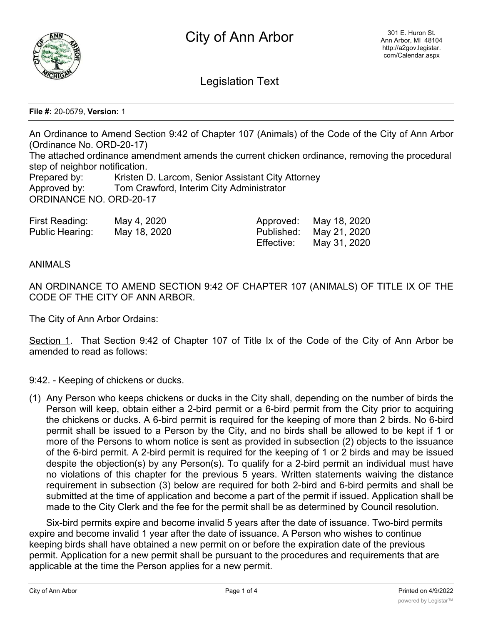

Legislation Text

**File #:** 20-0579, **Version:** 1

An Ordinance to Amend Section 9:42 of Chapter 107 (Animals) of the Code of the City of Ann Arbor (Ordinance No. ORD-20-17) The attached ordinance amendment amends the current chicken ordinance, removing the procedural

step of neighbor notification.

Prepared by: Kristen D. Larcom, Senior Assistant City Attorney Approved by: Tom Crawford, Interim City Administrator ORDINANCE NO. ORD-20-17

| First Reading:    | May 4, 2020  | Approved:  | May 18, 2020 |
|-------------------|--------------|------------|--------------|
| Public Hearing: l | May 18, 2020 | Published: | May 21, 2020 |
|                   |              | Effective: | May 31, 2020 |

## ANIMALS

AN ORDINANCE TO AMEND SECTION 9:42 OF CHAPTER 107 (ANIMALS) OF TITLE IX OF THE CODE OF THE CITY OF ANN ARBOR.

The City of Ann Arbor Ordains:

Section 1. That Section 9:42 of Chapter 107 of Title Ix of the Code of the City of Ann Arbor be amended to read as follows:

9:42. - Keeping of chickens or ducks.

(1) Any Person who keeps chickens or ducks in the City shall, depending on the number of birds the Person will keep, obtain either a 2-bird permit or a 6-bird permit from the City prior to acquiring the chickens or ducks. A 6-bird permit is required for the keeping of more than 2 birds. No 6-bird permit shall be issued to a Person by the City, and no birds shall be allowed to be kept if 1 or more of the Persons to whom notice is sent as provided in subsection (2) objects to the issuance of the 6-bird permit. A 2-bird permit is required for the keeping of 1 or 2 birds and may be issued despite the objection(s) by any Person(s). To qualify for a 2-bird permit an individual must have no violations of this chapter for the previous 5 years. Written statements waiving the distance requirement in subsection (3) below are required for both 2-bird and 6-bird permits and shall be submitted at the time of application and become a part of the permit if issued. Application shall be made to the City Clerk and the fee for the permit shall be as determined by Council resolution.

Six-bird permits expire and become invalid 5 years after the date of issuance. Two-bird permits expire and become invalid 1 year after the date of issuance. A Person who wishes to continue keeping birds shall have obtained a new permit on or before the expiration date of the previous permit. Application for a new permit shall be pursuant to the procedures and requirements that are applicable at the time the Person applies for a new permit.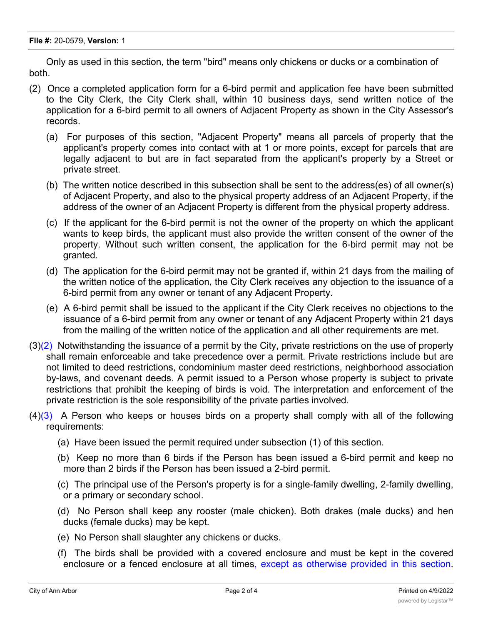Only as used in this section, the term "bird" means only chickens or ducks or a combination of both.

- (2) Once a completed application form for a 6-bird permit and application fee have been submitted to the City Clerk, the City Clerk shall, within 10 business days, send written notice of the application for a 6-bird permit to all owners of Adjacent Property as shown in the City Assessor's records.
	- (a) For purposes of this section, "Adjacent Property" means all parcels of property that the applicant's property comes into contact with at 1 or more points, except for parcels that are legally adjacent to but are in fact separated from the applicant's property by a Street or private street.
	- (b) The written notice described in this subsection shall be sent to the address(es) of all owner(s) of Adjacent Property, and also to the physical property address of an Adjacent Property, if the address of the owner of an Adjacent Property is different from the physical property address.
	- (c) If the applicant for the 6-bird permit is not the owner of the property on which the applicant wants to keep birds, the applicant must also provide the written consent of the owner of the property. Without such written consent, the application for the 6-bird permit may not be granted.
	- (d) The application for the 6-bird permit may not be granted if, within 21 days from the mailing of the written notice of the application, the City Clerk receives any objection to the issuance of a 6-bird permit from any owner or tenant of any Adjacent Property.
	- (e) A 6-bird permit shall be issued to the applicant if the City Clerk receives no objections to the issuance of a 6-bird permit from any owner or tenant of any Adjacent Property within 21 days from the mailing of the written notice of the application and all other requirements are met.
- $(3)(2)$  Notwithstanding the issuance of a permit by the City, private restrictions on the use of property shall remain enforceable and take precedence over a permit. Private restrictions include but are not limited to deed restrictions, condominium master deed restrictions, neighborhood association by-laws, and covenant deeds. A permit issued to a Person whose property is subject to private restrictions that prohibit the keeping of birds is void. The interpretation and enforcement of the private restriction is the sole responsibility of the private parties involved.
- $(4)(3)$  A Person who keeps or houses birds on a property shall comply with all of the following requirements:
	- (a) Have been issued the permit required under subsection (1) of this section.
	- (b) Keep no more than 6 birds if the Person has been issued a 6-bird permit and keep no more than 2 birds if the Person has been issued a 2-bird permit.
	- (c) The principal use of the Person's property is for a single-family dwelling, 2-family dwelling, or a primary or secondary school.
	- (d) No Person shall keep any rooster (male chicken). Both drakes (male ducks) and hen ducks (female ducks) may be kept.
	- (e) No Person shall slaughter any chickens or ducks.
	- (f) The birds shall be provided with a covered enclosure and must be kept in the covered enclosure or a fenced enclosure at all times, except as otherwise provided in this section.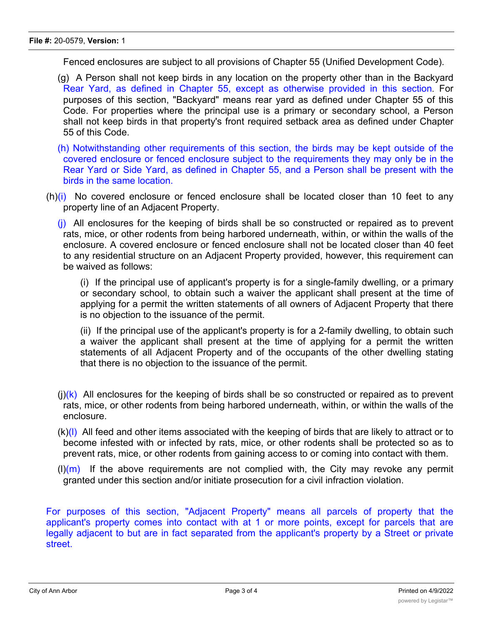Fenced enclosures are subject to all provisions of Chapter 55 (Unified Development Code).

- (g) A Person shall not keep birds in any location on the property other than in the Backyard Rear Yard, as defined in Chapter 55, except as otherwise provided in this section. For purposes of this section, "Backyard" means rear yard as defined under Chapter 55 of this Code. For properties where the principal use is a primary or secondary school, a Person shall not keep birds in that property's front required setback area as defined under Chapter 55 of this Code.
- (h) Notwithstanding other requirements of this section, the birds may be kept outside of the covered enclosure or fenced enclosure subject to the requirements they may only be in the Rear Yard or Side Yard, as defined in Chapter 55, and a Person shall be present with the birds in the same location.
- $(h)(i)$  No covered enclosure or fenced enclosure shall be located closer than 10 feet to any property line of an Adjacent Property.

 $(i)$  All enclosures for the keeping of birds shall be so constructed or repaired as to prevent rats, mice, or other rodents from being harbored underneath, within, or within the walls of the enclosure. A covered enclosure or fenced enclosure shall not be located closer than 40 feet to any residential structure on an Adjacent Property provided, however, this requirement can be waived as follows:

(i) If the principal use of applicant's property is for a single-family dwelling, or a primary or secondary school, to obtain such a waiver the applicant shall present at the time of applying for a permit the written statements of all owners of Adjacent Property that there is no objection to the issuance of the permit.

(ii) If the principal use of the applicant's property is for a 2-family dwelling, to obtain such a waiver the applicant shall present at the time of applying for a permit the written statements of all Adjacent Property and of the occupants of the other dwelling stating that there is no objection to the issuance of the permit.

- $(i)(k)$  All enclosures for the keeping of birds shall be so constructed or repaired as to prevent rats, mice, or other rodents from being harbored underneath, within, or within the walls of the enclosure.
- $(k)(l)$  All feed and other items associated with the keeping of birds that are likely to attract or to become infested with or infected by rats, mice, or other rodents shall be protected so as to prevent rats, mice, or other rodents from gaining access to or coming into contact with them.
- $(l)(m)$  If the above requirements are not complied with, the City may revoke any permit granted under this section and/or initiate prosecution for a civil infraction violation.

For purposes of this section, "Adjacent Property" means all parcels of property that the applicant's property comes into contact with at 1 or more points, except for parcels that are legally adjacent to but are in fact separated from the applicant's property by a Street or private street.